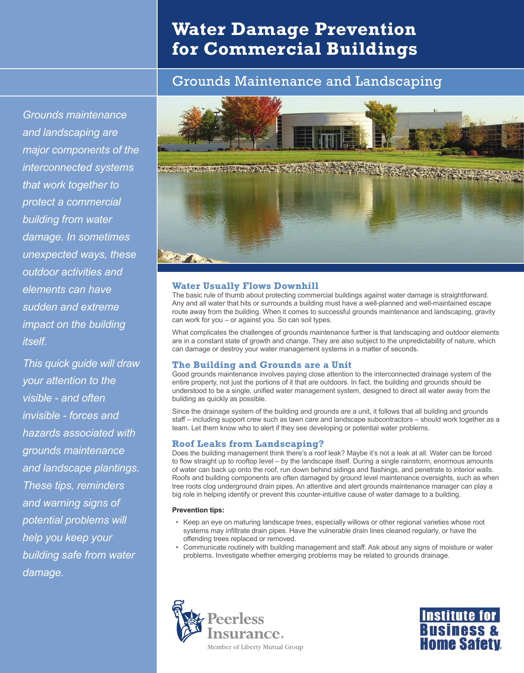# **Water Damage Prevention for Commercial Buildings**

## Grounds Maintenance and Landscaping

*Grounds maintenance and landscaping are major components of the interconnected systems that work together to protect a commercial building from water damage. In sometimes unexpected ways, these outdoor activities and elements can have sudden and extreme impact on the building itself.*

*This quick guide will draw your attention to the visible - and often invisible - forces and hazards associated with grounds maintenance and landscape plantings. These tips, reminders and warning signs of potential problems will help you keep your building safe from water damage.*



## **Water Usually Flows Downhill**

The basic rule of thumb about protecting commercial buildings against water damage is straightforward. Any and all water that hits or surrounds a building must have a well-planned and well-maintained escape route away from the building. When it comes to successful grounds maintenance and landscaping, gravity can work for you – or against you. So can soil types.

What complicates the challenges of grounds maintenance further is that landscaping and outdoor elements are in a constant state of growth and change. They are also subject to the unpredictability of nature, which can damage or destroy your water management systems in a matter of seconds.

## **The Building and Grounds are a Unit**

Good grounds maintenance involves paying close attention to the interconnected drainage system of the entire property, not just the portions of it that are outdoors. In fact, the building and grounds should be understood to be a single, unified water management system, designed to direct all water away from the building as quickly as possible.

Since the drainage system of the building and grounds are a unit, it follows that all building and grounds staff – including support crew such as lawn care and landscape subcontractors – should work together as a team. Let them know who to alert if they see developing or potential water problems.

## **Roof Leaks from Landscaping?**

Does the building management think there's a roof leak? Maybe it's not a leak at all. Water can be forced to flow straight up to rooftop level – by the landscape itself. During a single rainstorm, enormous amounts of water can back up onto the roof, run down behind sidings and flashings, and penetrate to interior walls. Roofs and building components are often damaged by ground level maintenance oversights, such as when tree roots clog underground drain pipes. An attentive and alert grounds maintenance manager can play a big role in helping identify or prevent this counter-intuitive cause of water damage to a building.

## **Prevention tips:**

- Keep an eye on maturing landscape trees, especially willows or other regional varieties whose root systems may infiltrate drain pipes. Have the vulnerable drain lines cleaned regularly, or have the offending trees replaced or removed.
- Communicate routinely with building management and staff. Ask about any signs of moisture or water problems. Investigate whether emerging problems may be related to grounds drainage.